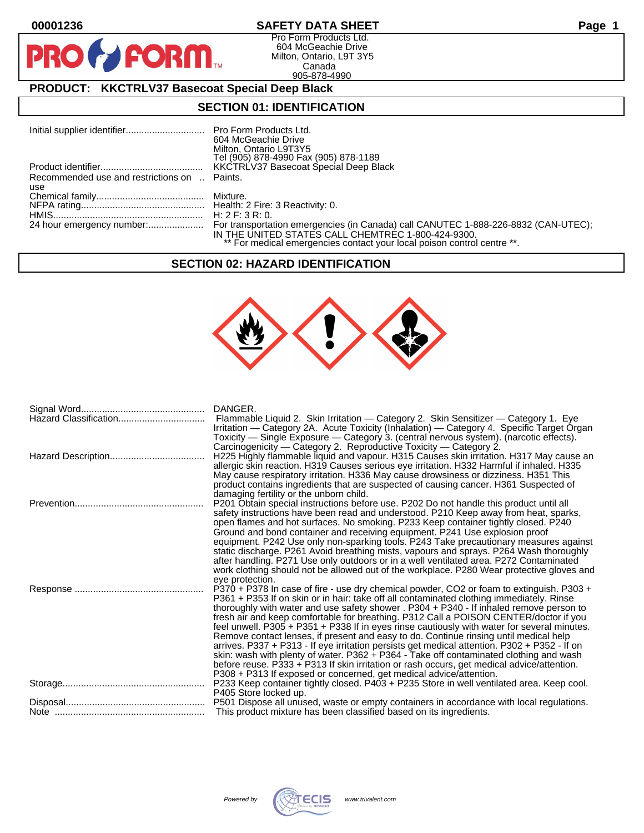$\mathbf O$ 

PR

### **00001236 SAFETY DATA SHEET Page 1**

Pro Form Products Ltd. 604 McGeachie Drive Milton, Ontario, L9T 3Y5 Canada 905-878-4990

## **PRODUCT: KKCTRLV37 Basecoat Special Deep Black**

**FORM** 

### **SECTION 01: IDENTIFICATION**

|                                              | 604 McGeachie Drive                                                     |
|----------------------------------------------|-------------------------------------------------------------------------|
|                                              | Milton, Ontario L9T3Y5                                                  |
|                                              | Tel (905) 878-4990 Fax (905) 878-1189                                   |
|                                              | <b>KKCTRLV37 Basecoat Special Deep Black</b>                            |
| Recommended use and restrictions on  Paints. |                                                                         |
| use                                          |                                                                         |
|                                              |                                                                         |
|                                              |                                                                         |
|                                              |                                                                         |
|                                              |                                                                         |
|                                              | IN THE UNITED STATES CALL CHEMTREC 1-800-424-9300.                      |
|                                              | ** For medical emergencies contact your local poison control centre **. |

#### **SECTION 02: HAZARD IDENTIFICATION**



| Hazard Classification | DANGER.<br>Flammable Liquid 2. Skin Irritation - Category 2. Skin Sensitizer - Category 1. Eye<br>Irritation — Category 2A. Acute Toxicity (Inhalation) — Category 4. Specific Target Organ<br>Toxicity — Single Exposure — Category 3. (central nervous system). (narcotic effects).                                                                                                                                                                                                                                                                                                                                                                                                                                                                                                                                                                                                                                          |
|-----------------------|--------------------------------------------------------------------------------------------------------------------------------------------------------------------------------------------------------------------------------------------------------------------------------------------------------------------------------------------------------------------------------------------------------------------------------------------------------------------------------------------------------------------------------------------------------------------------------------------------------------------------------------------------------------------------------------------------------------------------------------------------------------------------------------------------------------------------------------------------------------------------------------------------------------------------------|
|                       | Carcinogenicity - Category 2. Reproductive Toxicity - Category 2.<br>H225 Highly flammable liquid and vapour. H315 Causes skin irritation. H317 May cause an<br>allergic skin reaction. H319 Causes serious eye irritation. H332 Harmful if inhaled. H335<br>May cause respiratory irritation. H336 May cause drowsiness or dizziness. H351 This<br>product contains ingredients that are suspected of causing cancer. H361 Suspected of                                                                                                                                                                                                                                                                                                                                                                                                                                                                                       |
|                       | damaging fertility or the unborn child.<br>P201 Obtain special instructions before use. P202 Do not handle this product until all<br>safety instructions have been read and understood. P210 Keep away from heat, sparks,<br>open flames and hot surfaces. No smoking. P233 Keep container tightly closed. P240                                                                                                                                                                                                                                                                                                                                                                                                                                                                                                                                                                                                                |
|                       | Ground and bond container and receiving equipment. P241 Use explosion proof<br>equipment. P242 Use only non-sparking tools. P243 Take precautionary measures against<br>static discharge. P261 Avoid breathing mists, vapours and sprays. P264 Wash thoroughly<br>after handling. P271 Use only outdoors or in a well ventilated area. P272 Contaminated<br>work clothing should not be allowed out of the workplace. P280 Wear protective gloves and<br>eye protection.                                                                                                                                                                                                                                                                                                                                                                                                                                                       |
|                       | P370 + P378 In case of fire - use dry chemical powder, CO2 or foam to extinguish. P303 +<br>P361 + P353 If on skin or in hair: take off all contaminated clothing immediately. Rinse<br>thoroughly with water and use safety shower . P304 + P340 - If inhaled remove person to<br>fresh air and keep comfortable for breathing. P312 Call a POISON CENTER/doctor if you<br>feel unwell. P305 + P351 + P338 If in eyes rinse cautiously with water for several minutes.<br>Remove contact lenses, if present and easy to do. Continue rinsing until medical help<br>arrives. P337 + P313 - If eye irritation persists get medical attention. P302 + P352 - If on<br>skin: wash with plenty of water. P362 + P364 - Take off contaminated clothing and wash<br>before reuse. P333 + P313 If skin irritation or rash occurs, get medical advice/attention.<br>P308 + P313 If exposed or concerned, get medical advice/attention. |
|                       | P233 Keep container tightly closed. P403 + P235 Store in well ventilated area. Keep cool.<br>P405 Store locked up.                                                                                                                                                                                                                                                                                                                                                                                                                                                                                                                                                                                                                                                                                                                                                                                                             |
|                       | P501 Dispose all unused, waste or empty containers in accordance with local regulations.<br>This product mixture has been classified based on its ingredients.                                                                                                                                                                                                                                                                                                                                                                                                                                                                                                                                                                                                                                                                                                                                                                 |

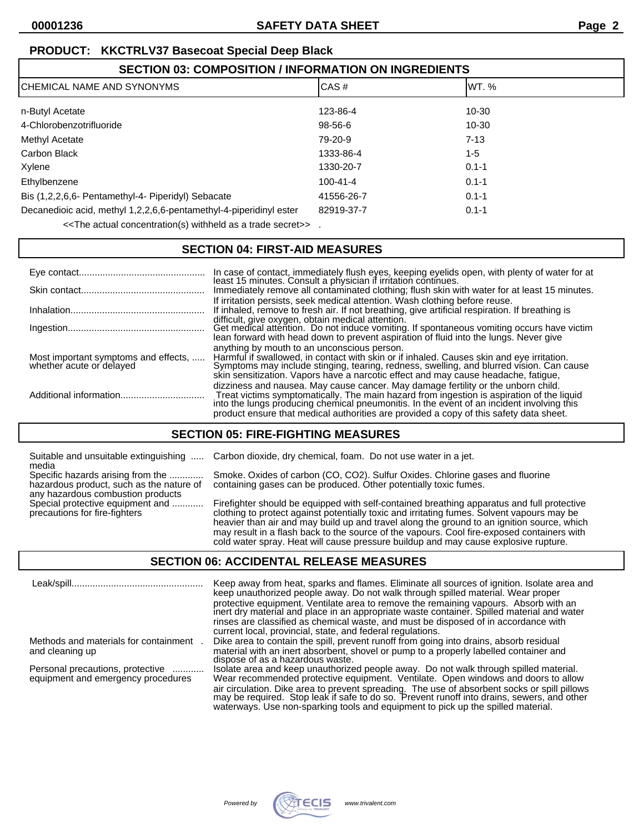## **PRODUCT: KKCTRLV37 Basecoat Special Deep Black**

| <b>SECTION 03: COMPOSITION / INFORMATION ON INGREDIENTS</b>                                                              |                |           |  |
|--------------------------------------------------------------------------------------------------------------------------|----------------|-----------|--|
| ICHEMICAL NAME AND SYNONYMS                                                                                              | CAS#           | IWT. %    |  |
| n-Butyl Acetate                                                                                                          | 123-86-4       | 10-30     |  |
| 4-Chlorobenzotrifluoride                                                                                                 | 98-56-6        | 10-30     |  |
| Methyl Acetate                                                                                                           | 79-20-9        | $7 - 13$  |  |
| Carbon Black                                                                                                             | 1333-86-4      | 1-5       |  |
| Xylene                                                                                                                   | 1330-20-7      | $0.1 - 1$ |  |
| Ethylbenzene                                                                                                             | $100 - 41 - 4$ | $0.1 - 1$ |  |
| Bis (1,2,2,6,6- Pentamethyl-4- Piperidyl) Sebacate                                                                       | 41556-26-7     | $0.1 - 1$ |  |
| Decanedioic acid, methyl 1,2,2,6,6-pentamethyl-4-piperidinyl ester                                                       | 82919-37-7     | $0.1 - 1$ |  |
| $\mathcal{F}$ . The estual equator $\mathcal{F}$ and $\mathcal{F}$ and $\mathcal{F}$ and $\mathcal{F}$ and $\mathcal{F}$ |                |           |  |

 $\le$ The actual concentration(s) withheld as a trade secret>>.

## **SECTION 04: FIRST-AID MEASURES**

|                                                                  | In case of contact, immediately flush eyes, keeping eyelids open, with plenty of water for at least 15 minutes. Consult a physician if irritation continues.                                                                                                                                                                                                       |
|------------------------------------------------------------------|--------------------------------------------------------------------------------------------------------------------------------------------------------------------------------------------------------------------------------------------------------------------------------------------------------------------------------------------------------------------|
|                                                                  | Immediately remove all contaminated clothing; flush skin with water for at least 15 minutes.                                                                                                                                                                                                                                                                       |
|                                                                  | If irritation persists, seek medical attention. Wash clothing before reuse.<br>If inhaled, remove to fresh air. If not breathing, give artificial respiration. If breathing is                                                                                                                                                                                     |
|                                                                  | difficult, give oxygen, obtain medical attention.<br>Get medical attention. Do not induce vomiting. If spontaneous vomiting occurs have victim<br>lean forward with head down to prevent aspiration of fluid into the lungs. Never give                                                                                                                            |
| Most important symptoms and effects,<br>whether acute or delayed | anything by mouth to an unconscious person.<br>Harmful if swallowed, in contact with skin or if inhaled. Causes skin and eye irritation.<br>Symptoms may include stinging, tearing, redness, swelling, and blurred vision. Can cause<br>skin sensitization. Vapors have a narcotic effect and may cause headache, fatigue,                                         |
|                                                                  | dizziness and nausea. May cause cancer. May damage fertility or the unborn child.<br>Treat victims symptomatically. The main hazard from ingestion is aspiration of the liquid into the lungs producing chemical pneumonitis. In the event of an incident involving this<br>product ensure that medical authorities are provided a copy of this safety data sheet. |

# **SECTION 05: FIRE-FIGHTING MEASURES**

Suitable and unsuitable extinguishing ..... Carbon dioxide, dry chemical, foam. Do not use water in a jet.

media<br>Specific hazards arising from the ............. hazardous product, such as the nature of any hazardous combustion products

Specific hazards arising from the ............. Smoke. Oxides of carbon (CO, CO2). Sulfur Oxides. Chlorine gases and fluorine hazardous product, such as the nature of containing gases can be produced. Other potentially toxic fumes.

Special protective equipment and ............ Firefighter should be equipped with self-contained breathing apparatus and full protective<br>precautions for fire-fighters on an clothing to protect against potentially toxic and clothing to protect against potentially toxic and irritating fumes. Solvent vapours may be heavier than air and may build up and travel along the ground to an ignition source, which may result in a flash back to the source of the vapours. Cool fire-exposed containers with cold water spray. Heat will cause pressure buildup and may cause explosive rupture.

### **SECTION 06: ACCIDENTAL RELEASE MEASURES**

|                                                                        | Keep away from heat, sparks and flames. Eliminate all sources of ignition. Isolate area and<br>keep unauthorized people away. Do not walk through spilled material. Wear proper<br>protective equipment. Ventilate area to remove the remaining vapours. Absorb with an<br>inert dry material and place in an appropriate waste container. Spilled material and water<br>rinses are classified as chemical waste, and must be disposed of in accordance with<br>current local, provincial, state, and federal regulations. |
|------------------------------------------------------------------------|----------------------------------------------------------------------------------------------------------------------------------------------------------------------------------------------------------------------------------------------------------------------------------------------------------------------------------------------------------------------------------------------------------------------------------------------------------------------------------------------------------------------------|
| Methods and materials for containment<br>and cleaning up               | Dike area to contain the spill, prevent runoff from going into drains, absorb residual<br>material with an inert absorbent, shovel or pump to a properly labelled container and<br>dispose of as a hazardous waste.                                                                                                                                                                                                                                                                                                        |
| Personal precautions, protective<br>equipment and emergency procedures | Isolate area and keep unauthorized people away. Do not walk through spilled material.<br>Wear recommended protective equipment. Ventilate. Open windows and doors to allow                                                                                                                                                                                                                                                                                                                                                 |
|                                                                        | air circulation. Dike area to prevent spreading. The use of absorbent socks or spill pillows<br>may be required. Stop leak if safe to do so. Prevent runoff into drains, sewers, and other<br>waterways. Use non-sparking tools and equipment to pick up the spilled material.                                                                                                                                                                                                                                             |

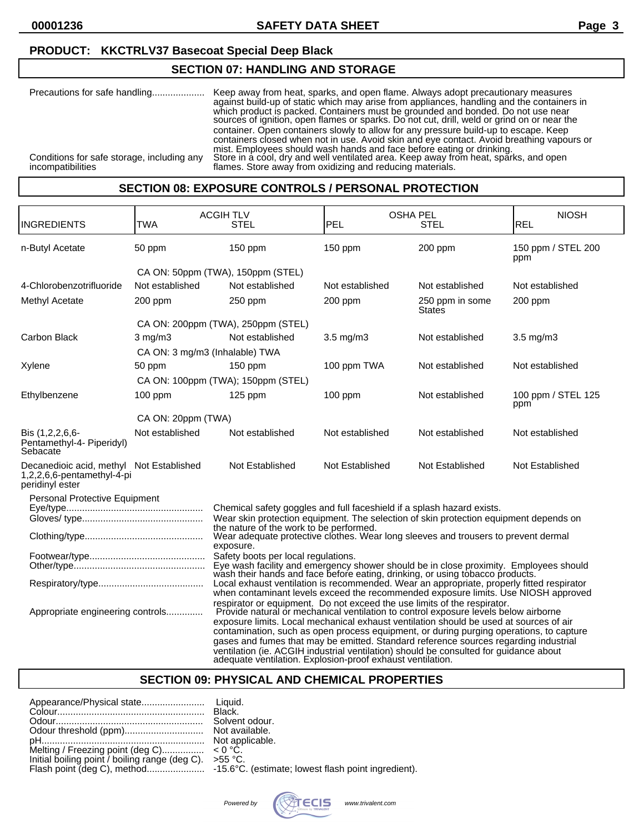# **PRODUCT: KKCTRLV37 Basecoat Special Deep Black**

### **SECTION 07: HANDLING AND STORAGE**

| Precautions for safe handling                                   | Keep away from heat, sparks, and open flame. Always adopt precautionary measures<br>against build-up of static which may arise from appliances, handling and the containers in<br>which product is packed. Containers must be grounded and bonded. Do not use near<br>source's of ignition, open flames or sparks. Do not cut, drill, weld or grind on or near the                                              |
|-----------------------------------------------------------------|-----------------------------------------------------------------------------------------------------------------------------------------------------------------------------------------------------------------------------------------------------------------------------------------------------------------------------------------------------------------------------------------------------------------|
| Conditions for safe storage, including any<br>incompatibilities | container. Open containers slowly to allow for any pressure build-up to escape. Keep<br>containers closed when not in use. Avoid skin and eye contact. Avoid breathing vapours or<br>mist. Employees should wash hands and face before eating or drinking.<br>Store in a cool, dry and well ventilated area. Keep away from heat, sparks, and open<br>flames. Store away from oxidizing and reducing materials. |

# **SECTION 08: EXPOSURE CONTROLS / PERSONAL PROTECTION**

|                                                                                                                                                                                                                                                                                                                                                                                                                                                                                                                                                                                                                                         | <b>TWA</b>                                                                                      | <b>ACGIH TLV</b><br><b>STEL</b>                                                                                                                                                 | PEL                | <b>OSHA PEL</b><br><b>STEL</b>   | <b>NIOSH</b><br>REL       |
|-----------------------------------------------------------------------------------------------------------------------------------------------------------------------------------------------------------------------------------------------------------------------------------------------------------------------------------------------------------------------------------------------------------------------------------------------------------------------------------------------------------------------------------------------------------------------------------------------------------------------------------------|-------------------------------------------------------------------------------------------------|---------------------------------------------------------------------------------------------------------------------------------------------------------------------------------|--------------------|----------------------------------|---------------------------|
| <b>INGREDIENTS</b>                                                                                                                                                                                                                                                                                                                                                                                                                                                                                                                                                                                                                      |                                                                                                 |                                                                                                                                                                                 |                    |                                  |                           |
| n-Butyl Acetate                                                                                                                                                                                                                                                                                                                                                                                                                                                                                                                                                                                                                         | 50 ppm                                                                                          | $150$ ppm                                                                                                                                                                       | 150 ppm            | 200 ppm                          | 150 ppm / STEL 200<br>ppm |
|                                                                                                                                                                                                                                                                                                                                                                                                                                                                                                                                                                                                                                         |                                                                                                 | CA ON: 50ppm (TWA), 150ppm (STEL)                                                                                                                                               |                    |                                  |                           |
| 4-Chlorobenzotrifluoride                                                                                                                                                                                                                                                                                                                                                                                                                                                                                                                                                                                                                | Not established                                                                                 | Not established                                                                                                                                                                 | Not established    | Not established                  | Not established           |
| Methyl Acetate                                                                                                                                                                                                                                                                                                                                                                                                                                                                                                                                                                                                                          | $200$ ppm                                                                                       | $250$ ppm                                                                                                                                                                       | $200$ ppm          | 250 ppm in some<br><b>States</b> | $200$ ppm                 |
|                                                                                                                                                                                                                                                                                                                                                                                                                                                                                                                                                                                                                                         |                                                                                                 | CA ON: 200ppm (TWA), 250ppm (STEL)                                                                                                                                              |                    |                                  |                           |
| Carbon Black                                                                                                                                                                                                                                                                                                                                                                                                                                                                                                                                                                                                                            | $3 \text{ mg/m}$                                                                                | Not established                                                                                                                                                                 | $3.5 \text{ mg/m}$ | Not established                  | $3.5 \text{ mg/m}$        |
|                                                                                                                                                                                                                                                                                                                                                                                                                                                                                                                                                                                                                                         | CA ON: 3 mg/m3 (Inhalable) TWA                                                                  |                                                                                                                                                                                 |                    |                                  |                           |
| Xylene                                                                                                                                                                                                                                                                                                                                                                                                                                                                                                                                                                                                                                  | 50 ppm                                                                                          | $150$ ppm                                                                                                                                                                       | 100 ppm TWA        | Not established                  | Not established           |
|                                                                                                                                                                                                                                                                                                                                                                                                                                                                                                                                                                                                                                         |                                                                                                 | CA ON: 100ppm (TWA); 150ppm (STEL)                                                                                                                                              |                    |                                  |                           |
| Ethylbenzene                                                                                                                                                                                                                                                                                                                                                                                                                                                                                                                                                                                                                            | $100$ ppm                                                                                       | $125$ ppm                                                                                                                                                                       | $100$ ppm          | Not established                  | 100 ppm / STEL 125<br>ppm |
|                                                                                                                                                                                                                                                                                                                                                                                                                                                                                                                                                                                                                                         | CA ON: 20ppm (TWA)                                                                              |                                                                                                                                                                                 |                    |                                  |                           |
| Bis (1,2,2,6,6-<br>Pentamethyl-4- Piperidyl)<br>Sebacate                                                                                                                                                                                                                                                                                                                                                                                                                                                                                                                                                                                | Not established                                                                                 | Not established                                                                                                                                                                 | Not established    | Not established                  | Not established           |
| Decanedioic acid, methyl Not Established<br>1,2,2,6,6-pentamethyl-4-pi<br>peridinyl ester                                                                                                                                                                                                                                                                                                                                                                                                                                                                                                                                               |                                                                                                 | Not Established                                                                                                                                                                 | Not Established    | Not Established                  | Not Established           |
| Personal Protective Equipment                                                                                                                                                                                                                                                                                                                                                                                                                                                                                                                                                                                                           |                                                                                                 |                                                                                                                                                                                 |                    |                                  |                           |
|                                                                                                                                                                                                                                                                                                                                                                                                                                                                                                                                                                                                                                         |                                                                                                 | Chemical safety goggles and full faceshield if a splash hazard exists.                                                                                                          |                    |                                  |                           |
| Wear skin protection equipment. The selection of skin protection equipment depends on<br>the nature of the work to be performed.                                                                                                                                                                                                                                                                                                                                                                                                                                                                                                        |                                                                                                 |                                                                                                                                                                                 |                    |                                  |                           |
|                                                                                                                                                                                                                                                                                                                                                                                                                                                                                                                                                                                                                                         | Wear adequate protective clothes. Wear long sleeves and trousers to prevent dermal<br>exposure. |                                                                                                                                                                                 |                    |                                  |                           |
|                                                                                                                                                                                                                                                                                                                                                                                                                                                                                                                                                                                                                                         |                                                                                                 | Safety boots per local regulations.                                                                                                                                             |                    |                                  |                           |
|                                                                                                                                                                                                                                                                                                                                                                                                                                                                                                                                                                                                                                         |                                                                                                 | Eye wash facility and emergency shower should be in close proximity. Employees should<br>wash their hands and face before eating, drinking, or using tobacco products.          |                    |                                  |                           |
|                                                                                                                                                                                                                                                                                                                                                                                                                                                                                                                                                                                                                                         |                                                                                                 | Local exhaust ventilation is recommended. Wear an appropriate, properly fitted respirator<br>when contaminant levels exceed the recommended exposure limits. Use NIOSH approved |                    |                                  |                           |
| respirator or equipment. Do not exceed the use limits of the respirator.<br>Provide natural or mechanical ventilation to control exposure levels below airborne<br>Appropriate engineering controls<br>exposure limits. Local mechanical exhaust ventilation should be used at sources of air<br>contamination, such as open process equipment, or during purging operations, to capture<br>gases and fumes that may be emitted. Standard reference sources regarding industrial<br>ventilation (ie. ACGIH industrial ventilation) should be consulted for guidance about<br>adequate ventilation. Explosion-proof exhaust ventilation. |                                                                                                 |                                                                                                                                                                                 |                    |                                  |                           |

### **SECTION 09: PHYSICAL AND CHEMICAL PROPERTIES**

| Initial boiling point / boiling range (deg C). $>55$ °C. |  |
|----------------------------------------------------------|--|
|----------------------------------------------------------|--|

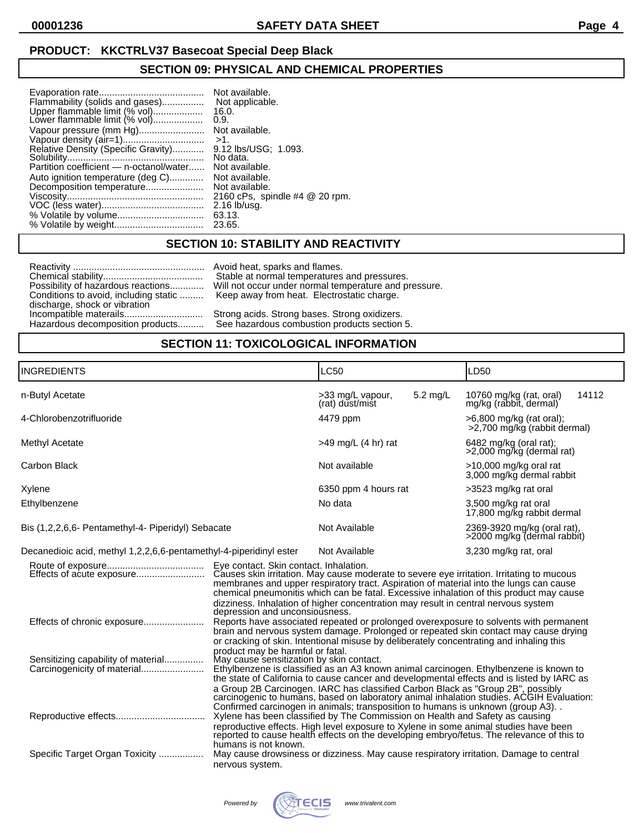## **PRODUCT: KKCTRLV37 Basecoat Special Deep Black**

## **SECTION 09: PHYSICAL AND CHEMICAL PROPERTIES**

| Flammability (solids and gases)<br>Upper flammable limit (% vol)<br>Lower flammable limit (% vol) | Not available.<br>Not applicable.<br>16.0.<br>0.9. |
|---------------------------------------------------------------------------------------------------|----------------------------------------------------|
| Vapour pressure (mm Hg)                                                                           | Not available.                                     |
| Vapour density (air=1)                                                                            | $>1$ .                                             |
| Relative Density (Specific Gravity)                                                               | 9.12 lbs/USG: 1.093.                               |
|                                                                                                   | No data.                                           |
| Partition coefficient - n-octanol/water                                                           | Not available.                                     |
| Auto ignition temperature (deg C)                                                                 | Not available.                                     |
| Decomposition temperature                                                                         | Not available.                                     |
|                                                                                                   | 2160 cPs, spindle #4 @ 20 rpm.                     |
|                                                                                                   | $2.16$ lb/usg.                                     |
|                                                                                                   | 63.13.                                             |
|                                                                                                   | 23.65.                                             |

### **SECTION 10: STABILITY AND REACTIVITY**

Reactivity .................................................. Avoid heat, sparks and flames. discharge, shock or vibration

Avoid heat, sparks and flames.<br>Stable at normal temperatures and pressures. Possibility of hazardous reactions............. Will not occur under normal temperature and pressure. Conditions to avoid, including static ......... Keep away from heat. Electrostatic charge.

Incompatible materails.............................. Strong acids. Strong bases. Strong oxidizers. See hazardous combustion products section 5.

### **SECTION 11: TOXICOLOGICAL INFORMATION**

| <b>INGREDIENTS</b>                                                 |                                                                                                                                                                                                                                                                                                                                                                                                                                                                                                                                                                                                                                                                                                                                                                                                                                                                                                                                                                                                                                                                                                                                                                                    | LC50                                   |          | LD50                                                       |       |
|--------------------------------------------------------------------|------------------------------------------------------------------------------------------------------------------------------------------------------------------------------------------------------------------------------------------------------------------------------------------------------------------------------------------------------------------------------------------------------------------------------------------------------------------------------------------------------------------------------------------------------------------------------------------------------------------------------------------------------------------------------------------------------------------------------------------------------------------------------------------------------------------------------------------------------------------------------------------------------------------------------------------------------------------------------------------------------------------------------------------------------------------------------------------------------------------------------------------------------------------------------------|----------------------------------------|----------|------------------------------------------------------------|-------|
| n-Butyl Acetate                                                    |                                                                                                                                                                                                                                                                                                                                                                                                                                                                                                                                                                                                                                                                                                                                                                                                                                                                                                                                                                                                                                                                                                                                                                                    | >33 mg/L vapour,<br>(rat) dust/mist    | 5.2 mg/L | 10760 mg/kg (rat, oral)<br>mg/kg (rabbit, dermal)          | 14112 |
| 4-Chlorobenzotrifluoride                                           |                                                                                                                                                                                                                                                                                                                                                                                                                                                                                                                                                                                                                                                                                                                                                                                                                                                                                                                                                                                                                                                                                                                                                                                    | 4479 ppm                               |          | $>6,800$ mg/kg (rat oral);<br>>2.700 mg/kg (rabbit dermal) |       |
| Methyl Acetate                                                     |                                                                                                                                                                                                                                                                                                                                                                                                                                                                                                                                                                                                                                                                                                                                                                                                                                                                                                                                                                                                                                                                                                                                                                                    | $>49$ mg/L (4 hr) rat                  |          | 6482 mg/kg (oral rat);<br>>2,000 mg/kg (dermal rat)        |       |
| Carbon Black                                                       |                                                                                                                                                                                                                                                                                                                                                                                                                                                                                                                                                                                                                                                                                                                                                                                                                                                                                                                                                                                                                                                                                                                                                                                    | Not available                          |          | $>10,000$ mg/kg oral rat<br>3,000 mg/kg dermal rabbit      |       |
| Xylene                                                             |                                                                                                                                                                                                                                                                                                                                                                                                                                                                                                                                                                                                                                                                                                                                                                                                                                                                                                                                                                                                                                                                                                                                                                                    | 6350 ppm 4 hours rat                   |          | >3523 mg/kg rat oral                                       |       |
| Ethylbenzene                                                       |                                                                                                                                                                                                                                                                                                                                                                                                                                                                                                                                                                                                                                                                                                                                                                                                                                                                                                                                                                                                                                                                                                                                                                                    | No data                                |          | 3,500 mg/kg rat oral<br>17,800 mg/kg rabbit dermal         |       |
| Bis (1,2,2,6,6- Pentamethyl-4- Piperidyl) Sebacate                 |                                                                                                                                                                                                                                                                                                                                                                                                                                                                                                                                                                                                                                                                                                                                                                                                                                                                                                                                                                                                                                                                                                                                                                                    | Not Available                          |          | 2369-3920 mg/kg (oral rat),<br>>2000 mg/kg (dermal rabbit) |       |
| Decanedioic acid, methyl 1,2,2,6,6-pentamethyl-4-piperidinyl ester |                                                                                                                                                                                                                                                                                                                                                                                                                                                                                                                                                                                                                                                                                                                                                                                                                                                                                                                                                                                                                                                                                                                                                                                    | 3,230 mg/kg rat, oral<br>Not Available |          |                                                            |       |
|                                                                    | Eye contact. Skin contact. Inhalation.<br>Causes skin irritation. May cause moderate to severe eye irritation. Irritating to mucous<br>membranes and upper respiratory tract. Aspiration of material into the lungs can cause<br>chemical pneumonitis which can be fatal. Excessive inhalation of this product may cause<br>dizziness. Inhalation of higher concentration may result in central nervous system<br>depression and unconsiousness.<br>Reports have associated repeated or prolonged overexposure to solvents with permanent<br>brain and nervous system damage. Prolonged or repeated skin contact may cause drying<br>or cracking of skin. Intentional misuse by deliberately concentrating and inhaling this<br>product may be harmful or fatal.<br>May cause sensitization by skin contact.<br>Ethylbenzene is classified as an A3 known animal carcinogen. Ethylbenzene is known to<br>the state of California to cause cancer and developmental effects and is listed by IARC as<br>a Group 2B Carcinogen. IARC has classified Carbon Black as "Group 2B", possibly<br>carcinogenic to humans, based on laboratory animal inhalation studies. ACGIH Evaluation: |                                        |          |                                                            |       |
| Sensitizing capability of material<br>Carcinogenicity of material  |                                                                                                                                                                                                                                                                                                                                                                                                                                                                                                                                                                                                                                                                                                                                                                                                                                                                                                                                                                                                                                                                                                                                                                                    |                                        |          |                                                            |       |
|                                                                    | Confirmed carcinogen in animals; transposition to humans is unknown (group A3). .<br>Xylene has been classified by The Commission on Health and Safety as causing<br>reproductive effects. High level exposure to Xylene in some animal studies have been reported to cause health effects on the developing embryo/fetus. The relevance of this to<br>humans is not known.<br>May cause drowsiness or dizziness. May cause respiratory irritation. Damage to central                                                                                                                                                                                                                                                                                                                                                                                                                                                                                                                                                                                                                                                                                                              |                                        |          |                                                            |       |
| Specific Target Organ Toxicity                                     | nervous system.                                                                                                                                                                                                                                                                                                                                                                                                                                                                                                                                                                                                                                                                                                                                                                                                                                                                                                                                                                                                                                                                                                                                                                    |                                        |          |                                                            |       |
|                                                                    |                                                                                                                                                                                                                                                                                                                                                                                                                                                                                                                                                                                                                                                                                                                                                                                                                                                                                                                                                                                                                                                                                                                                                                                    |                                        |          |                                                            |       |